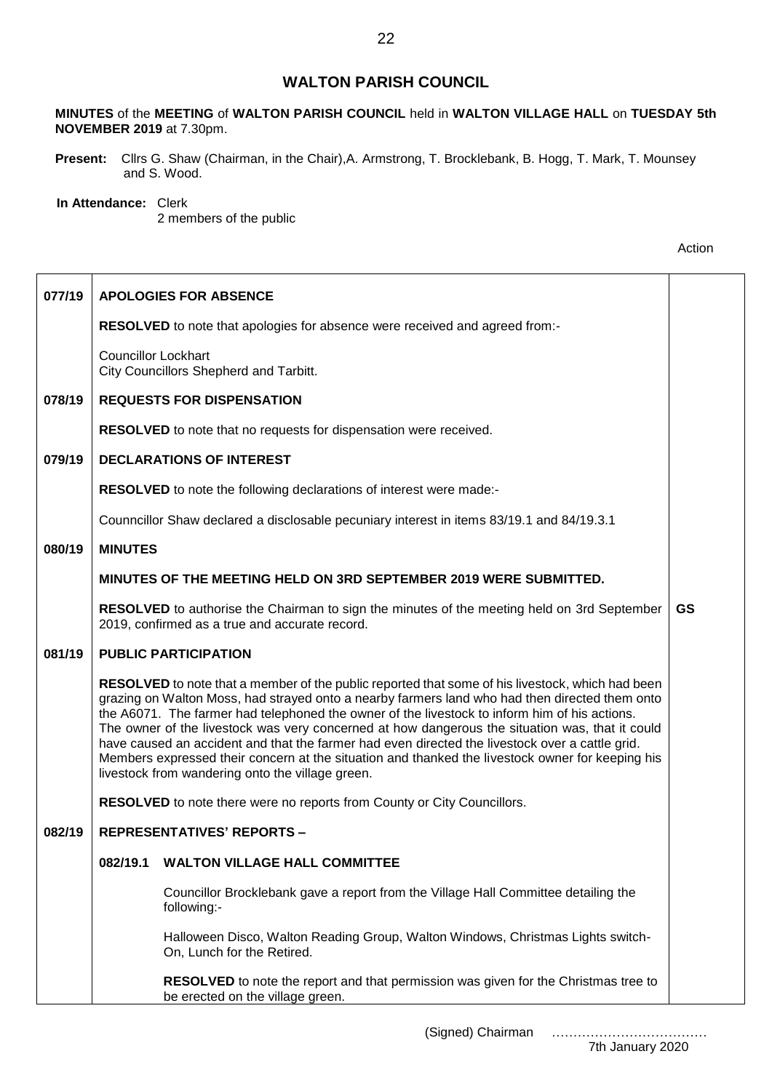## **WALTON PARISH COUNCIL**

**MINUTES** of the **MEETING** of **WALTON PARISH COUNCIL** held in **WALTON VILLAGE HALL** on **TUESDAY 5th NOVEMBER 2019** at 7.30pm.

**Present:** Cllrs G. Shaw (Chairman, in the Chair),A. Armstrong, T. Brocklebank, B. Hogg, T. Mark, T. Mounsey and S. Wood.

## **In Attendance:** Clerk

2 members of the public

| 077/19 |                                                                                                                                                                                                                                                                                                                                                                                                                                                                                                                                                                                                                                                                   | <b>APOLOGIES FOR ABSENCE</b>                                                                                                                         |           |
|--------|-------------------------------------------------------------------------------------------------------------------------------------------------------------------------------------------------------------------------------------------------------------------------------------------------------------------------------------------------------------------------------------------------------------------------------------------------------------------------------------------------------------------------------------------------------------------------------------------------------------------------------------------------------------------|------------------------------------------------------------------------------------------------------------------------------------------------------|-----------|
|        |                                                                                                                                                                                                                                                                                                                                                                                                                                                                                                                                                                                                                                                                   | <b>RESOLVED</b> to note that apologies for absence were received and agreed from:-                                                                   |           |
|        | <b>Councillor Lockhart</b>                                                                                                                                                                                                                                                                                                                                                                                                                                                                                                                                                                                                                                        | City Councillors Shepherd and Tarbitt.                                                                                                               |           |
| 078/19 |                                                                                                                                                                                                                                                                                                                                                                                                                                                                                                                                                                                                                                                                   | <b>REQUESTS FOR DISPENSATION</b>                                                                                                                     |           |
|        |                                                                                                                                                                                                                                                                                                                                                                                                                                                                                                                                                                                                                                                                   | <b>RESOLVED</b> to note that no requests for dispensation were received.                                                                             |           |
| 079/19 |                                                                                                                                                                                                                                                                                                                                                                                                                                                                                                                                                                                                                                                                   | <b>DECLARATIONS OF INTEREST</b>                                                                                                                      |           |
|        |                                                                                                                                                                                                                                                                                                                                                                                                                                                                                                                                                                                                                                                                   | RESOLVED to note the following declarations of interest were made:-                                                                                  |           |
|        |                                                                                                                                                                                                                                                                                                                                                                                                                                                                                                                                                                                                                                                                   | Counncillor Shaw declared a disclosable pecuniary interest in items 83/19.1 and 84/19.3.1                                                            |           |
| 080/19 | <b>MINUTES</b>                                                                                                                                                                                                                                                                                                                                                                                                                                                                                                                                                                                                                                                    |                                                                                                                                                      |           |
|        |                                                                                                                                                                                                                                                                                                                                                                                                                                                                                                                                                                                                                                                                   | <b>MINUTES OF THE MEETING HELD ON 3RD SEPTEMBER 2019 WERE SUBMITTED.</b>                                                                             |           |
|        |                                                                                                                                                                                                                                                                                                                                                                                                                                                                                                                                                                                                                                                                   | <b>RESOLVED</b> to authorise the Chairman to sign the minutes of the meeting held on 3rd September<br>2019, confirmed as a true and accurate record. | <b>GS</b> |
| 081/19 |                                                                                                                                                                                                                                                                                                                                                                                                                                                                                                                                                                                                                                                                   | <b>PUBLIC PARTICIPATION</b>                                                                                                                          |           |
|        | RESOLVED to note that a member of the public reported that some of his livestock, which had been<br>grazing on Walton Moss, had strayed onto a nearby farmers land who had then directed them onto<br>the A6071. The farmer had telephoned the owner of the livestock to inform him of his actions.<br>The owner of the livestock was very concerned at how dangerous the situation was, that it could<br>have caused an accident and that the farmer had even directed the livestock over a cattle grid.<br>Members expressed their concern at the situation and thanked the livestock owner for keeping his<br>livestock from wandering onto the village green. |                                                                                                                                                      |           |
|        |                                                                                                                                                                                                                                                                                                                                                                                                                                                                                                                                                                                                                                                                   | RESOLVED to note there were no reports from County or City Councillors.                                                                              |           |
| 082/19 | <b>REPRESENTATIVES' REPORTS -</b>                                                                                                                                                                                                                                                                                                                                                                                                                                                                                                                                                                                                                                 |                                                                                                                                                      |           |
|        | 082/19.1                                                                                                                                                                                                                                                                                                                                                                                                                                                                                                                                                                                                                                                          | <b>WALTON VILLAGE HALL COMMITTEE</b>                                                                                                                 |           |
|        |                                                                                                                                                                                                                                                                                                                                                                                                                                                                                                                                                                                                                                                                   | Councillor Brocklebank gave a report from the Village Hall Committee detailing the<br>following:-                                                    |           |
|        |                                                                                                                                                                                                                                                                                                                                                                                                                                                                                                                                                                                                                                                                   | Halloween Disco, Walton Reading Group, Walton Windows, Christmas Lights switch-<br>On, Lunch for the Retired.                                        |           |
|        |                                                                                                                                                                                                                                                                                                                                                                                                                                                                                                                                                                                                                                                                   | RESOLVED to note the report and that permission was given for the Christmas tree to<br>be erected on the village green.                              |           |

(Signed) Chairman ………………………………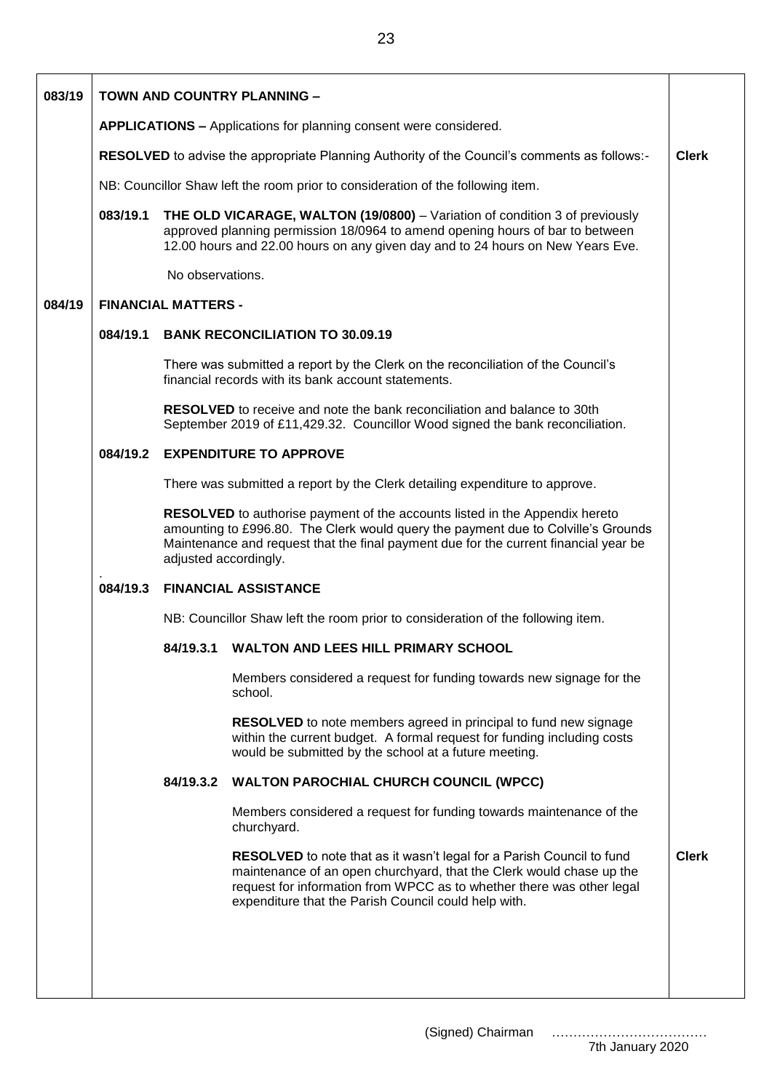| 083/19 |                                                                                                                                                                  |                                                                                 | TOWN AND COUNTRY PLANNING -                                                                                                                                                                                                                                                           |              |  |
|--------|------------------------------------------------------------------------------------------------------------------------------------------------------------------|---------------------------------------------------------------------------------|---------------------------------------------------------------------------------------------------------------------------------------------------------------------------------------------------------------------------------------------------------------------------------------|--------------|--|
|        | <b>APPLICATIONS - Applications for planning consent were considered.</b>                                                                                         |                                                                                 |                                                                                                                                                                                                                                                                                       |              |  |
|        | RESOLVED to advise the appropriate Planning Authority of the Council's comments as follows:-                                                                     |                                                                                 |                                                                                                                                                                                                                                                                                       |              |  |
|        |                                                                                                                                                                  | NB: Councillor Shaw left the room prior to consideration of the following item. |                                                                                                                                                                                                                                                                                       |              |  |
|        | 083/19.1                                                                                                                                                         |                                                                                 | THE OLD VICARAGE, WALTON (19/0800) - Variation of condition 3 of previously<br>approved planning permission 18/0964 to amend opening hours of bar to between<br>12.00 hours and 22.00 hours on any given day and to 24 hours on New Years Eve.                                        |              |  |
|        |                                                                                                                                                                  | No observations.                                                                |                                                                                                                                                                                                                                                                                       |              |  |
| 084/19 |                                                                                                                                                                  | <b>FINANCIAL MATTERS -</b>                                                      |                                                                                                                                                                                                                                                                                       |              |  |
|        | 084/19.1<br><b>BANK RECONCILIATION TO 30.09.19</b>                                                                                                               |                                                                                 |                                                                                                                                                                                                                                                                                       |              |  |
|        |                                                                                                                                                                  |                                                                                 | There was submitted a report by the Clerk on the reconciliation of the Council's<br>financial records with its bank account statements.                                                                                                                                               |              |  |
|        | <b>RESOLVED</b> to receive and note the bank reconciliation and balance to 30th<br>September 2019 of £11,429.32. Councillor Wood signed the bank reconciliation. |                                                                                 |                                                                                                                                                                                                                                                                                       |              |  |
|        | 084/19.2                                                                                                                                                         | <b>EXPENDITURE TO APPROVE</b>                                                   |                                                                                                                                                                                                                                                                                       |              |  |
|        |                                                                                                                                                                  | There was submitted a report by the Clerk detailing expenditure to approve.     |                                                                                                                                                                                                                                                                                       |              |  |
|        |                                                                                                                                                                  | adjusted accordingly.                                                           | <b>RESOLVED</b> to authorise payment of the accounts listed in the Appendix hereto<br>amounting to £996.80. The Clerk would query the payment due to Colville's Grounds<br>Maintenance and request that the final payment due for the current financial year be                       |              |  |
|        | 084/19.3                                                                                                                                                         |                                                                                 | <b>FINANCIAL ASSISTANCE</b>                                                                                                                                                                                                                                                           |              |  |
|        |                                                                                                                                                                  | NB: Councillor Shaw left the room prior to consideration of the following item. |                                                                                                                                                                                                                                                                                       |              |  |
|        |                                                                                                                                                                  | 84/19.3.1                                                                       | WALTON AND LEES HILL PRIMARY SCHOOL                                                                                                                                                                                                                                                   |              |  |
|        |                                                                                                                                                                  |                                                                                 | Members considered a request for funding towards new signage for the<br>school.                                                                                                                                                                                                       |              |  |
|        |                                                                                                                                                                  |                                                                                 | <b>RESOLVED</b> to note members agreed in principal to fund new signage<br>within the current budget. A formal request for funding including costs<br>would be submitted by the school at a future meeting.                                                                           |              |  |
|        |                                                                                                                                                                  |                                                                                 | 84/19.3.2 WALTON PAROCHIAL CHURCH COUNCIL (WPCC)                                                                                                                                                                                                                                      |              |  |
|        |                                                                                                                                                                  |                                                                                 | Members considered a request for funding towards maintenance of the<br>churchyard.                                                                                                                                                                                                    |              |  |
|        |                                                                                                                                                                  |                                                                                 | <b>RESOLVED</b> to note that as it wasn't legal for a Parish Council to fund<br>maintenance of an open churchyard, that the Clerk would chase up the<br>request for information from WPCC as to whether there was other legal<br>expenditure that the Parish Council could help with. | <b>Clerk</b> |  |
|        |                                                                                                                                                                  |                                                                                 |                                                                                                                                                                                                                                                                                       |              |  |
|        |                                                                                                                                                                  |                                                                                 |                                                                                                                                                                                                                                                                                       |              |  |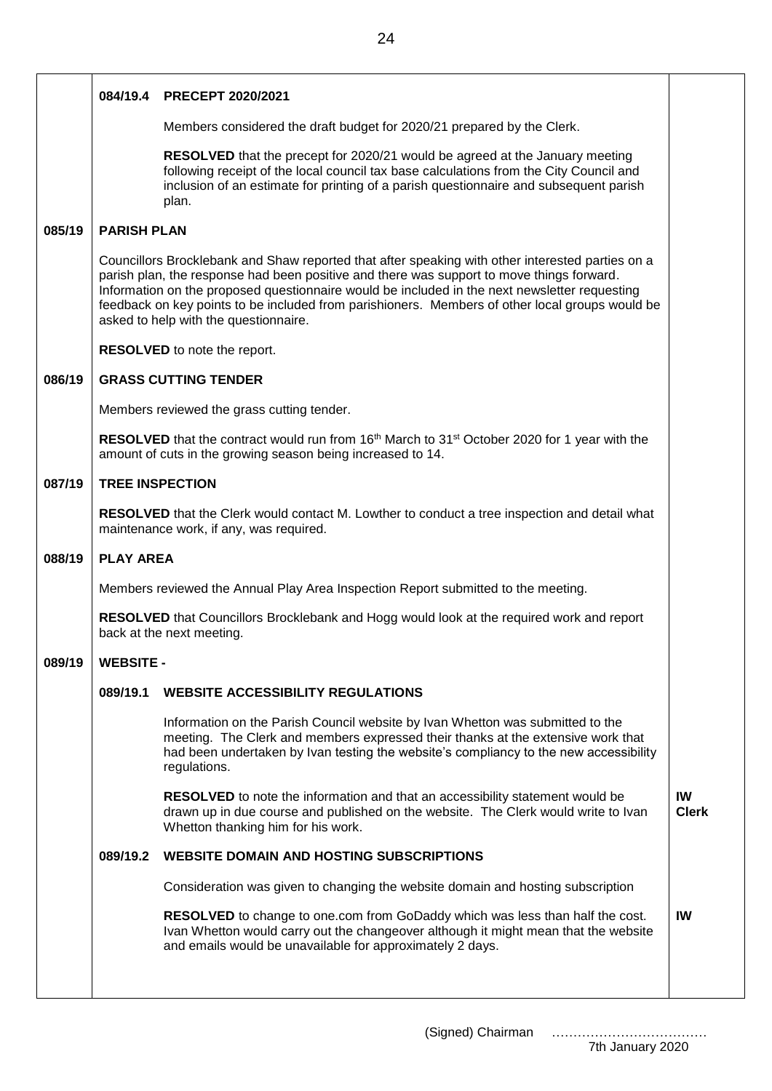|        |                                                                                                                                          | 084/19.4 PRECEPT 2020/2021                                                                                                                                                                                                                                                                                                                                                                                                                 |                    |  |
|--------|------------------------------------------------------------------------------------------------------------------------------------------|--------------------------------------------------------------------------------------------------------------------------------------------------------------------------------------------------------------------------------------------------------------------------------------------------------------------------------------------------------------------------------------------------------------------------------------------|--------------------|--|
|        |                                                                                                                                          | Members considered the draft budget for 2020/21 prepared by the Clerk.                                                                                                                                                                                                                                                                                                                                                                     |                    |  |
|        |                                                                                                                                          | RESOLVED that the precept for 2020/21 would be agreed at the January meeting<br>following receipt of the local council tax base calculations from the City Council and<br>inclusion of an estimate for printing of a parish questionnaire and subsequent parish<br>plan.                                                                                                                                                                   |                    |  |
| 085/19 | <b>PARISH PLAN</b>                                                                                                                       |                                                                                                                                                                                                                                                                                                                                                                                                                                            |                    |  |
|        |                                                                                                                                          | Councillors Brocklebank and Shaw reported that after speaking with other interested parties on a<br>parish plan, the response had been positive and there was support to move things forward.<br>Information on the proposed questionnaire would be included in the next newsletter requesting<br>feedback on key points to be included from parishioners. Members of other local groups would be<br>asked to help with the questionnaire. |                    |  |
|        |                                                                                                                                          | <b>RESOLVED</b> to note the report.                                                                                                                                                                                                                                                                                                                                                                                                        |                    |  |
| 086/19 |                                                                                                                                          | <b>GRASS CUTTING TENDER</b>                                                                                                                                                                                                                                                                                                                                                                                                                |                    |  |
|        | Members reviewed the grass cutting tender.                                                                                               |                                                                                                                                                                                                                                                                                                                                                                                                                                            |                    |  |
|        |                                                                                                                                          | <b>RESOLVED</b> that the contract would run from 16 <sup>th</sup> March to 31 <sup>st</sup> October 2020 for 1 year with the<br>amount of cuts in the growing season being increased to 14.                                                                                                                                                                                                                                                |                    |  |
| 087/19 |                                                                                                                                          | <b>TREE INSPECTION</b>                                                                                                                                                                                                                                                                                                                                                                                                                     |                    |  |
|        | RESOLVED that the Clerk would contact M. Lowther to conduct a tree inspection and detail what<br>maintenance work, if any, was required. |                                                                                                                                                                                                                                                                                                                                                                                                                                            |                    |  |
| 088/19 |                                                                                                                                          | <b>PLAY AREA</b>                                                                                                                                                                                                                                                                                                                                                                                                                           |                    |  |
|        | Members reviewed the Annual Play Area Inspection Report submitted to the meeting.                                                        |                                                                                                                                                                                                                                                                                                                                                                                                                                            |                    |  |
|        |                                                                                                                                          | RESOLVED that Councillors Brocklebank and Hogg would look at the required work and report<br>back at the next meeting.                                                                                                                                                                                                                                                                                                                     |                    |  |
| 089/19 | <b>WEBSITE -</b>                                                                                                                         |                                                                                                                                                                                                                                                                                                                                                                                                                                            |                    |  |
|        | 089/19.1                                                                                                                                 | <b>WEBSITE ACCESSIBILITY REGULATIONS</b>                                                                                                                                                                                                                                                                                                                                                                                                   |                    |  |
|        |                                                                                                                                          | Information on the Parish Council website by Ivan Whetton was submitted to the<br>meeting. The Clerk and members expressed their thanks at the extensive work that<br>had been undertaken by Ivan testing the website's compliancy to the new accessibility<br>regulations.                                                                                                                                                                |                    |  |
|        |                                                                                                                                          | <b>RESOLVED</b> to note the information and that an accessibility statement would be<br>drawn up in due course and published on the website. The Clerk would write to Ivan<br>Whetton thanking him for his work.                                                                                                                                                                                                                           | IW<br><b>Clerk</b> |  |
|        | 089/19.2                                                                                                                                 | <b>WEBSITE DOMAIN AND HOSTING SUBSCRIPTIONS</b>                                                                                                                                                                                                                                                                                                                                                                                            |                    |  |
|        |                                                                                                                                          | Consideration was given to changing the website domain and hosting subscription                                                                                                                                                                                                                                                                                                                                                            |                    |  |
|        |                                                                                                                                          | RESOLVED to change to one.com from GoDaddy which was less than half the cost.<br>Ivan Whetton would carry out the changeover although it might mean that the website<br>and emails would be unavailable for approximately 2 days.                                                                                                                                                                                                          | IW                 |  |
|        |                                                                                                                                          |                                                                                                                                                                                                                                                                                                                                                                                                                                            |                    |  |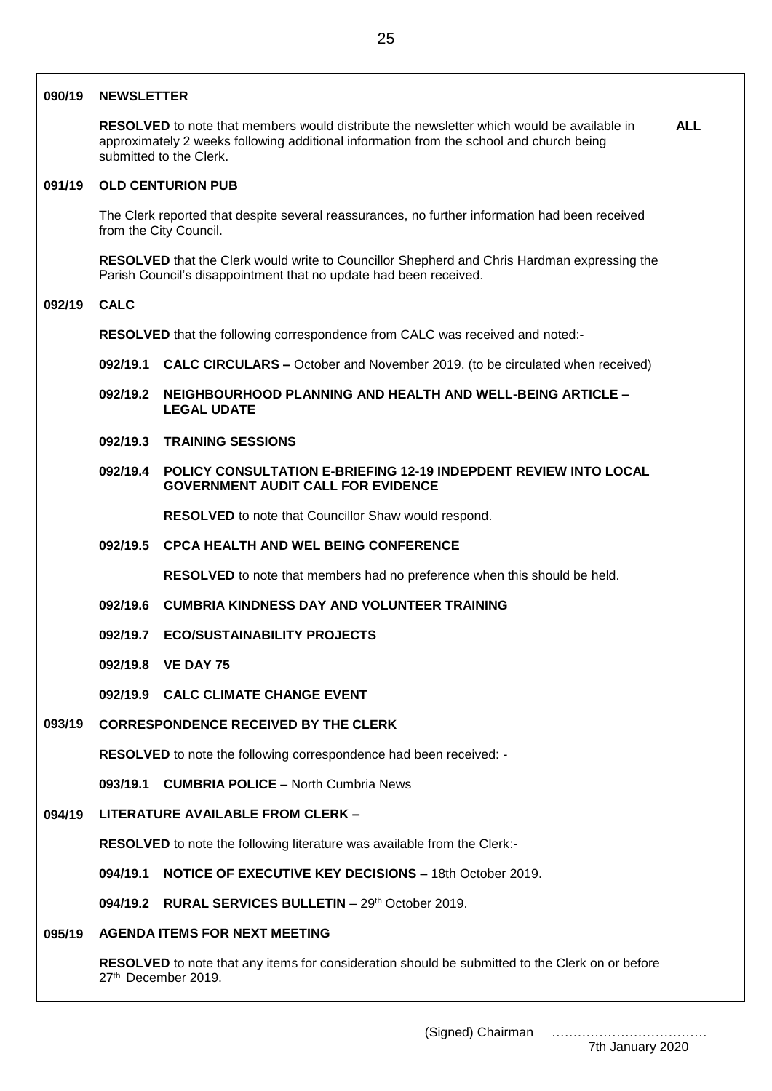| 090/19 | <b>NEWSLETTER</b>                                                                                                                                                                                                                    |                                                                                                               |  |  |
|--------|--------------------------------------------------------------------------------------------------------------------------------------------------------------------------------------------------------------------------------------|---------------------------------------------------------------------------------------------------------------|--|--|
|        | <b>RESOLVED</b> to note that members would distribute the newsletter which would be available in<br><b>ALL</b><br>approximately 2 weeks following additional information from the school and church being<br>submitted to the Clerk. |                                                                                                               |  |  |
| 091/19 | <b>OLD CENTURION PUB</b>                                                                                                                                                                                                             |                                                                                                               |  |  |
|        | The Clerk reported that despite several reassurances, no further information had been received<br>from the City Council.                                                                                                             |                                                                                                               |  |  |
|        | <b>RESOLVED</b> that the Clerk would write to Councillor Shepherd and Chris Hardman expressing the<br>Parish Council's disappointment that no update had been received.                                                              |                                                                                                               |  |  |
| 092/19 | <b>CALC</b>                                                                                                                                                                                                                          |                                                                                                               |  |  |
|        | RESOLVED that the following correspondence from CALC was received and noted:-                                                                                                                                                        |                                                                                                               |  |  |
|        |                                                                                                                                                                                                                                      | 092/19.1 CALC CIRCULARS - October and November 2019. (to be circulated when received)                         |  |  |
|        | 092/19.2                                                                                                                                                                                                                             | NEIGHBOURHOOD PLANNING AND HEALTH AND WELL-BEING ARTICLE -<br><b>LEGAL UDATE</b>                              |  |  |
|        | 092/19.3                                                                                                                                                                                                                             | <b>TRAINING SESSIONS</b>                                                                                      |  |  |
|        | 092/19.4                                                                                                                                                                                                                             | POLICY CONSULTATION E-BRIEFING 12-19 INDEPDENT REVIEW INTO LOCAL<br><b>GOVERNMENT AUDIT CALL FOR EVIDENCE</b> |  |  |
|        |                                                                                                                                                                                                                                      | RESOLVED to note that Councillor Shaw would respond.                                                          |  |  |
|        | 092/19.5                                                                                                                                                                                                                             | <b>CPCA HEALTH AND WEL BEING CONFERENCE</b>                                                                   |  |  |
|        |                                                                                                                                                                                                                                      | RESOLVED to note that members had no preference when this should be held.                                     |  |  |
|        | 092/19.6                                                                                                                                                                                                                             | <b>CUMBRIA KINDNESS DAY AND VOLUNTEER TRAINING</b>                                                            |  |  |
|        | 092/19.7                                                                                                                                                                                                                             | <b>ECO/SUSTAINABILITY PROJECTS</b>                                                                            |  |  |
|        | 092/19.8                                                                                                                                                                                                                             | <b>VE DAY 75</b>                                                                                              |  |  |
|        |                                                                                                                                                                                                                                      | 092/19.9 CALC CLIMATE CHANGE EVENT                                                                            |  |  |
| 093/19 |                                                                                                                                                                                                                                      | <b>CORRESPONDENCE RECEIVED BY THE CLERK</b>                                                                   |  |  |
|        |                                                                                                                                                                                                                                      | RESOLVED to note the following correspondence had been received: -                                            |  |  |
|        | 093/19.1                                                                                                                                                                                                                             | <b>CUMBRIA POLICE</b> – North Cumbria News                                                                    |  |  |
| 094/19 |                                                                                                                                                                                                                                      | <b>LITERATURE AVAILABLE FROM CLERK -</b>                                                                      |  |  |
|        |                                                                                                                                                                                                                                      | RESOLVED to note the following literature was available from the Clerk:-                                      |  |  |
|        | 094/19.1                                                                                                                                                                                                                             | <b>NOTICE OF EXECUTIVE KEY DECISIONS - 18th October 2019.</b>                                                 |  |  |
|        | 094/19.2                                                                                                                                                                                                                             | <b>RURAL SERVICES BULLETIN</b> $-29th$ October 2019.                                                          |  |  |
| 095/19 | <b>AGENDA ITEMS FOR NEXT MEETING</b>                                                                                                                                                                                                 |                                                                                                               |  |  |
|        | RESOLVED to note that any items for consideration should be submitted to the Clerk on or before<br>27th December 2019.                                                                                                               |                                                                                                               |  |  |

(Signed) Chairman ………………………………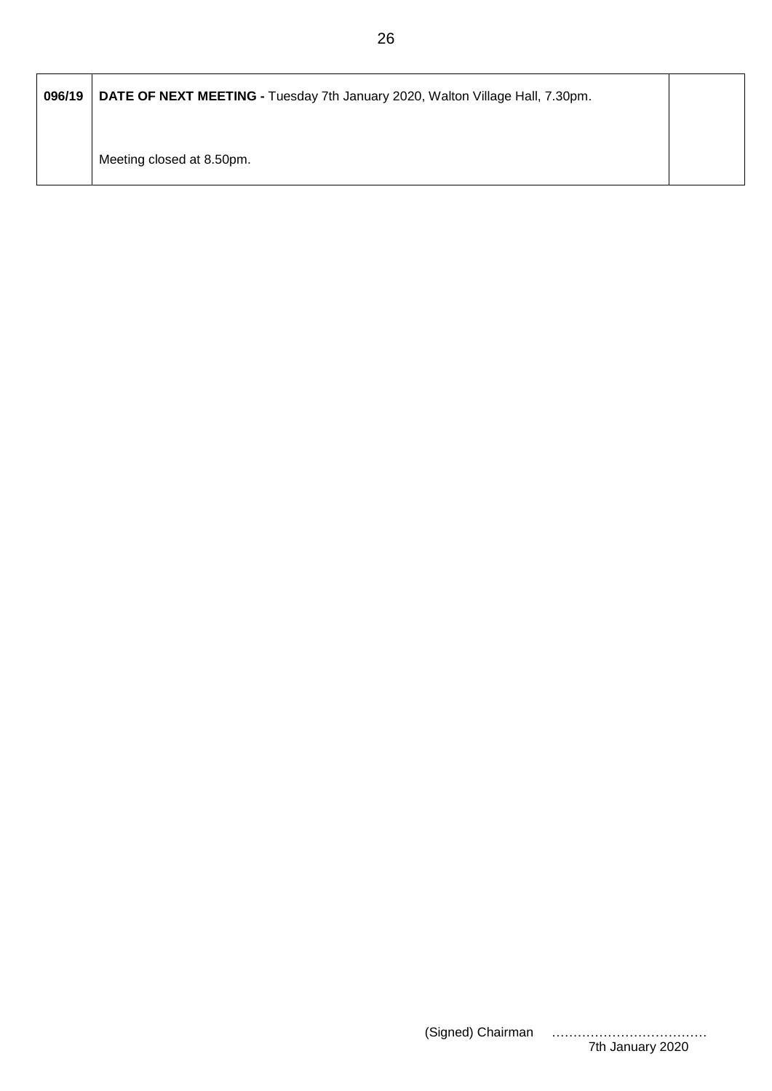| 096/19 | DATE OF NEXT MEETING - Tuesday 7th January 2020, Walton Village Hall, 7.30pm. |  |
|--------|-------------------------------------------------------------------------------|--|
|        | Meeting closed at 8.50pm.                                                     |  |